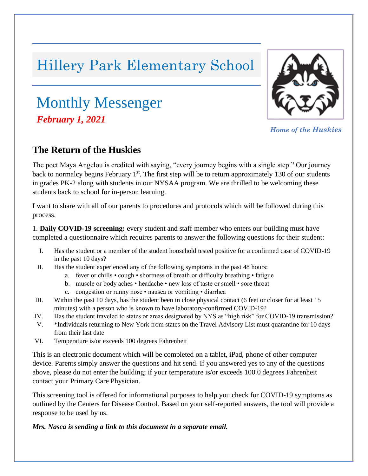# Hillery Park Elementary School

## Monthly Messenger *, February 1, 2021*



*Home of the Huskies*

## **The Return of the Huskies**

The poet Maya Angelou is credited with saying, "every journey begins with a single step." Our journey back to normalcy begins February  $1<sup>st</sup>$ . The first step will be to return approximately 130 of our students in grades PK-2 along with students in our NYSAA program. We are thrilled to be welcoming these students back to school for in-person learning.

I want to share with all of our parents to procedures and protocols which will be followed during this process.

1. **Daily COVID-19 screening:** every student and staff member who enters our building must have completed a questionnaire which requires parents to answer the following questions for their student:

- I. Has the student or a member of the student household tested positive for a confirmed case of COVID-19 in the past 10 days?
- II. Has the student experienced any of the following symptoms in the past 48 hours:
	- a. fever or chills cough shortness of breath or difficulty breathing fatigue
	- b. muscle or body aches headache new loss of taste or smell sore throat
	- c. congestion or runny nose nausea or vomiting diarrhea
- III. Within the past 10 days, has the student been in close physical contact (6 feet or closer for at least 15 minutes) with a person who is known to have laboratory-confirmed COVID-19?
- IV. Has the student traveled to states or areas designated by NYS as "high risk" for COVID-19 transmission?
- V. \*Individuals returning to New York from states on the Travel Advisory List must quarantine for 10 days from their last date
- VI. Temperature is/or exceeds 100 degrees Fahrenheit

This is an electronic document which will be completed on a tablet, iPad, phone of other computer device. Parents simply answer the questions and hit send. If you answered yes to any of the questions above, please do not enter the building; if your temperature is/or exceeds 100.0 degrees Fahrenheit contact your Primary Care Physician.

This screening tool is offered for informational purposes to help you check for COVID-19 symptoms as outlined by the Centers for Disease Control. Based on your self-reported answers, the tool will provide a response to be used by us.

#### *Mrs. Nasca is sending a link to this document in a separate email.*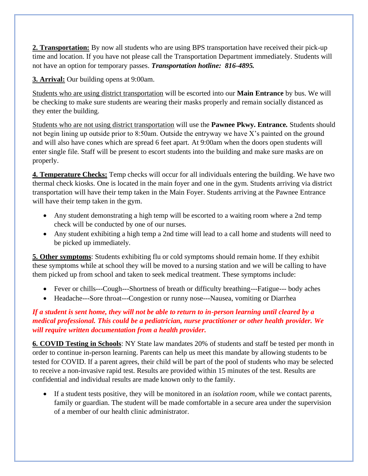**2. Transportation:** By now all students who are using BPS transportation have received their pick-up time and location. If you have not please call the Transportation Department immediately. Students will not have an option for temporary passes. *Transportation hotline: 816-4895.*

**3. Arrival:** Our building opens at 9:00am.

Students who are using district transportation will be escorted into our **Main Entrance** by bus. We will be checking to make sure students are wearing their masks properly and remain socially distanced as they enter the building.

Students who are not using district transportation will use the **Pawnee Pkwy. Entrance.** Students should not begin lining up outside prior to 8:50am. Outside the entryway we have X's painted on the ground and will also have cones which are spread 6 feet apart. At 9:00am when the doors open students will enter single file. Staff will be present to escort students into the building and make sure masks are on properly.

**4. Temperature Checks:** Temp checks will occur for all individuals entering the building. We have two thermal check kiosks. One is located in the main foyer and one in the gym. Students arriving via district transportation will have their temp taken in the Main Foyer. Students arriving at the Pawnee Entrance will have their temp taken in the gym.

- Any student demonstrating a high temp will be escorted to a waiting room where a 2nd temp check will be conducted by one of our nurses.
- Any student exhibiting a high temp a 2nd time will lead to a call home and students will need to be picked up immediately.

**5. Other symptoms**: Students exhibiting flu or cold symptoms should remain home. If they exhibit these symptoms while at school they will be moved to a nursing station and we will be calling to have them picked up from school and taken to seek medical treatment. These symptoms include:

- Fever or chills---Cough---Shortness of breath or difficulty breathing---Fatigue--- body aches
- Headache---Sore throat---Congestion or runny nose---Nausea, vomiting or Diarrhea

#### *If a student is sent home, they will not be able to return to in-person learning until cleared by a medical professional. This could be a pediatrician, nurse practitioner or other health provider. We will require written documentation from a health provider.*

**6. COVID Testing in Schools**: NY State law mandates 20% of students and staff be tested per month in order to continue in-person learning. Parents can help us meet this mandate by allowing students to be tested for COVID. If a parent agrees, their child will be part of the pool of students who may be selected to receive a non-invasive rapid test. Results are provided within 15 minutes of the test. Results are confidential and individual results are made known only to the family.

• If a student tests positive, they will be monitored in an *isolation room*, while we contact parents, family or guardian. The student will be made comfortable in a secure area under the supervision of a member of our health clinic administrator.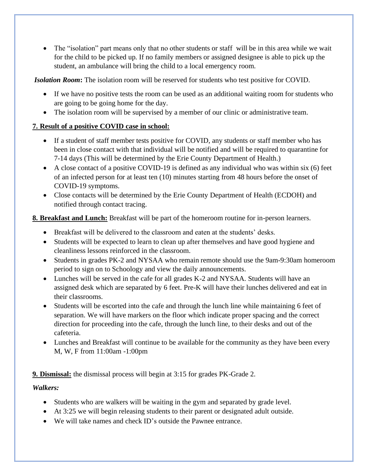• The "isolation" part means only that no other students or staff will be in this area while we wait for the child to be picked up. If no family members or assigned designee is able to pick up the student, an ambulance will bring the child to a local emergency room.

*Isolation Room***:** The isolation room will be reserved for students who test positive for COVID.

- If we have no positive tests the room can be used as an additional waiting room for students who are going to be going home for the day.
- The isolation room will be supervised by a member of our clinic or administrative team.

#### **7. Result of a positive COVID case in school:**

- If a student of staff member tests positive for COVID, any students or staff member who has been in close contact with that individual will be notified and will be required to quarantine for 7-14 days (This will be determined by the Erie County Department of Health.)
- A close contact of a positive COVID-19 is defined as any individual who was within six (6) feet of an infected person for at least ten (10) minutes starting from 48 hours before the onset of COVID-19 symptoms.
- Close contacts will be determined by the Erie County Department of Health (ECDOH) and notified through contact tracing.

**8. Breakfast and Lunch:** Breakfast will be part of the homeroom routine for in-person learners.

- Breakfast will be delivered to the classroom and eaten at the students' desks.
- Students will be expected to learn to clean up after themselves and have good hygiene and cleanliness lessons reinforced in the classroom.
- Students in grades PK-2 and NYSAA who remain remote should use the 9am-9:30am homeroom period to sign on to Schoology and view the daily announcements.
- Lunches will be served in the cafe for all grades K-2 and NYSAA. Students will have an assigned desk which are separated by 6 feet. Pre-K will have their lunches delivered and eat in their classrooms.
- Students will be escorted into the cafe and through the lunch line while maintaining 6 feet of separation. We will have markers on the floor which indicate proper spacing and the correct direction for proceeding into the cafe, through the lunch line, to their desks and out of the cafeteria.
- Lunches and Breakfast will continue to be available for the community as they have been every M, W, F from 11:00am -1:00pm

**9. Dismissal:** the dismissal process will begin at 3:15 for grades PK-Grade 2.

#### *Walkers:*

- Students who are walkers will be waiting in the gym and separated by grade level.
- At 3:25 we will begin releasing students to their parent or designated adult outside.
- We will take names and check ID's outside the Pawnee entrance.